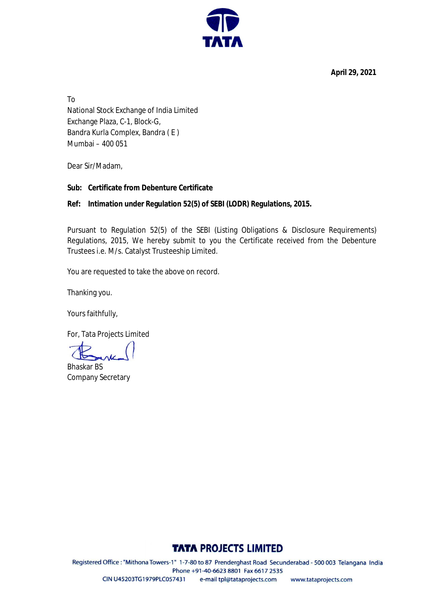**April 29, 2021**



To National Stock Exchange of India Limited Exchange Plaza, C-1, Block-G, Bandra Kurla Complex, Bandra ( E ) Mumbai – 400 051

Dear Sir/Madam,

### **Sub: Certificate from Debenture Certificate**

## **Ref: Intimation under Regulation 52(5) of SEBI (LODR) Regulations, 2015.**

Pursuant to Regulation 52(5) of the SEBI (Listing Obligations & Disclosure Requirements) Regulations, 2015, We hereby submit to you the Certificate received from the Debenture Trustees i.e. M/s. Catalyst Trusteeship Limited.

You are requested to take the above on record.

Thanking you.

Yours faithfully,

For, Tata Projects Limited

Bhaskar BS Company Secretary

# **TATA PROJECTS LIMITED**

Registered Office: "Mithona Towers-1" 1-7-80 to 87 Prenderghast Road Secunderabad - 500 003 Telangana India Phone +91-40-6623 8801 Fax 6617 2535 CIN U45203TG1979PLC057431 e-mail tpl@tataprojects.com www.tataprojects.com